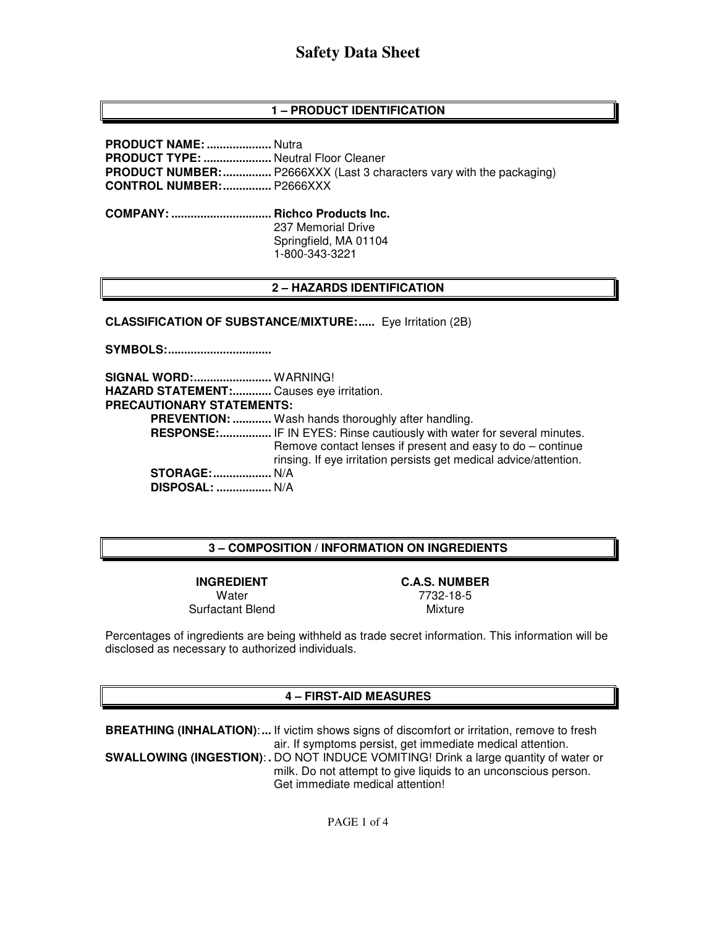# **Safety Data Sheet**

### **1 – PRODUCT IDENTIFICATION**

**PRODUCT NAME: ....................** Nutra **PRODUCT TYPE: .....................** Neutral Floor Cleaner **PRODUCT NUMBER: ...............** P2666XXX (Last 3 characters vary with the packaging) **CONTROL NUMBER: ...............** P2666XXX

**COMPANY: ............................... Richco Products Inc.**  237 Memorial Drive Springfield, MA 01104 1-800-343-3221

#### **2 – HAZARDS IDENTIFICATION**

**CLASSIFICATION OF SUBSTANCE/MIXTURE:.....** Eye Irritation (2B)

**SYMBOLS: ................................** 

**SIGNAL WORD: ........................** WARNING! **HAZARD STATEMENT: ............** Causes eye irritation. **PRECAUTIONARY STATEMENTS: PREVENTION: ............** Wash hands thoroughly after handling. **RESPONSE:** .................. IF IN EYES: Rinse cautiously with water for several minutes. Remove contact lenses if present and easy to do – continue rinsing. If eye irritation persists get medical advice/attention. **STORAGE: ..................** N/A  **DISPOSAL: .................** N/A

#### **3 – COMPOSITION / INFORMATION ON INGREDIENTS**

**INGREDIENT C.A.S. NUMBER Water** Surfactant Blend

7732-18-5 Mixture

Percentages of ingredients are being withheld as trade secret information. This information will be disclosed as necessary to authorized individuals.

#### **4 – FIRST-AID MEASURES**

**BREATHING (INHALATION)**: **...** If victim shows signs of discomfort or irritation, remove to fresh air. If symptoms persist, get immediate medical attention. **SWALLOWING (INGESTION)**: **.** DO NOT INDUCE VOMITING! Drink a large quantity of water or milk. Do not attempt to give liquids to an unconscious person. Get immediate medical attention!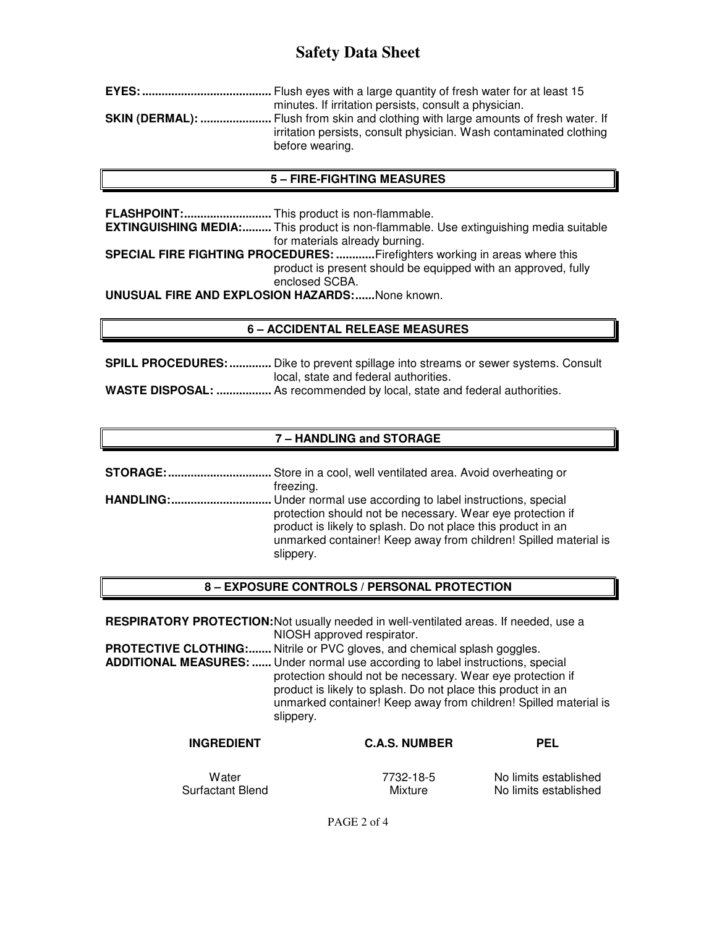# **Safety Data Sheet**

| minutes. If irritation persists, consult a physician.                                                                                                                              |
|------------------------------------------------------------------------------------------------------------------------------------------------------------------------------------|
| <b>SKIN (DERMAL): </b> Flush from skin and clothing with large amounts of fresh water. If<br>irritation persists, consult physician. Wash contaminated clothing<br>before wearing. |

#### **5 – FIRE-FIGHTING MEASURES**

**FLASHPOINT: ...........................** This product is non-flammable. **EXTINGUISHING MEDIA:.........** This product is non-flammable. Use extinguishing media suitable for materials already burning. **SPECIAL FIRE FIGHTING PROCEDURES: ............** Firefighters working in areas where this product is present should be equipped with an approved, fully enclosed SCBA. **UNUSUAL FIRE AND EXPLOSION HAZARDS: ......** None known.

### **6 – ACCIDENTAL RELEASE MEASURES**

**SPILL PROCEDURES: .............** Dike to prevent spillage into streams or sewer systems. Consult local, state and federal authorities. **WASTE DISPOSAL: .................** As recommended by local, state and federal authorities.

### **7 – HANDLING and STORAGE**

**STORAGE: ................................** Store in a cool, well ventilated area. Avoid overheating or freezing. **HANDLING: ...............................** Under normal use according to label instructions, special protection should not be necessary. Wear eye protection if product is likely to splash. Do not place this product in an unmarked container! Keep away from children! Spilled material is slippery.

#### **8 – EXPOSURE CONTROLS / PERSONAL PROTECTION**

**RESPIRATORY PROTECTION:** Not usually needed in well-ventilated areas. If needed, use a NIOSH approved respirator.

**PROTECTIVE CLOTHING:.......** Nitrile or PVC gloves, and chemical splash goggles.

**ADDITIONAL MEASURES: ......** Under normal use according to label instructions, special protection should not be necessary. Wear eye protection if product is likely to splash. Do not place this product in an unmarked container! Keep away from children! Spilled material is slippery.

| <b>INGREDIENT</b> | <b>C.A.S. NUMBER</b> | <b>PEL</b>            |
|-------------------|----------------------|-----------------------|
| Water             | 7732-18-5            | No limits established |
| Surfactant Blend  | Mixture              | No limits established |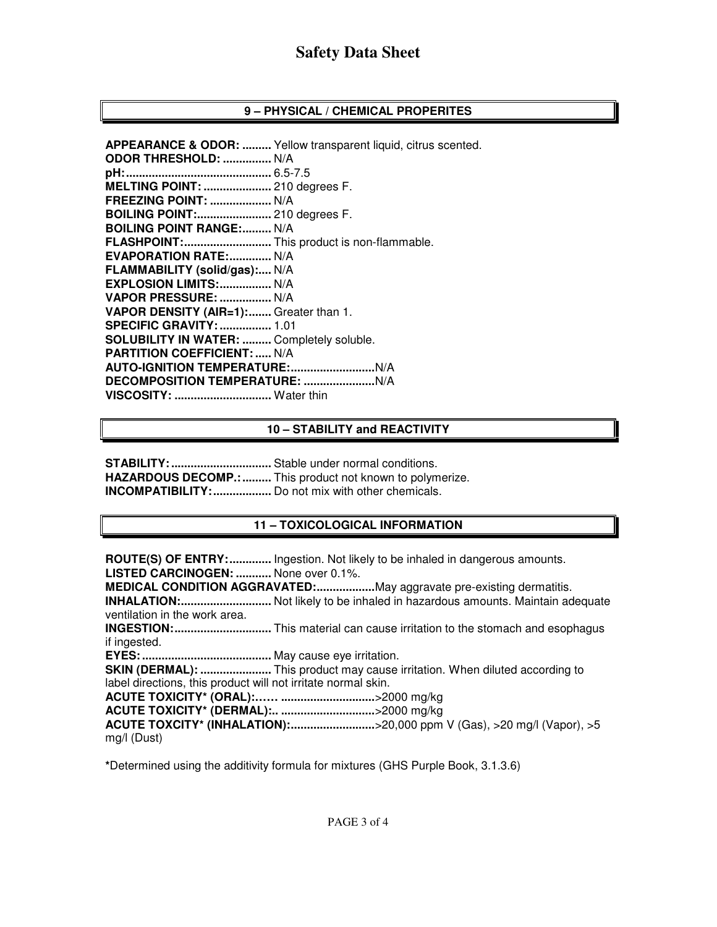## **9 – PHYSICAL / CHEMICAL PROPERITES**

**APPEARANCE & ODOR: .........** Yellow transparent liquid, citrus scented. **ODOR THRESHOLD: ...............** N/A **pH: .............................................** 6.5-7.5 **MELTING POINT: .....................** 210 degrees F. **FREEZING POINT: ...................** N/A **BOILING POINT:.......................** 210 degrees F. **BOILING POINT RANGE:......... N/A FLASHPOINT: ...........................** This product is non-flammable. **EVAPORATION RATE:.............. N/A FLAMMABILITY (solid/gas):....** N/A **EXPLOSION LIMITS: ................** N/A **VAPOR PRESSURE: ................** N/A **VAPOR DENSITY (AIR=1): ........** Greater than 1. **SPECIFIC GRAVITY: ................** 1.01 **SOLUBILITY IN WATER: .........** Completely soluble. **PARTITION COEFFICIENT: .....** N/A **AUTO-IGNITION TEMPERATURE: ..........................** N/A **DECOMPOSITION TEMPERATURE: ......................** N/A **VISCOSITY: ..............................** Water thin

### **10 – STABILITY and REACTIVITY**

**STABILITY: ...............................** Stable under normal conditions. **HAZARDOUS DECOMP.: .........** This product not known to polymerize. **INCOMPATIBILITY: ..................** Do not mix with other chemicals.

## **11 – TOXICOLOGICAL INFORMATION**

**ROUTE(S) OF ENTRY: .............** Ingestion. Not likely to be inhaled in dangerous amounts. **LISTED CARCINOGEN: ...........** None over 0.1%. **MEDICAL CONDITION AGGRAVATED: ..................** May aggravate pre-existing dermatitis. **INHALATION: ............................** Not likely to be inhaled in hazardous amounts. Maintain adequate ventilation in the work area. **INGESTION: ..............................** This material can cause irritation to the stomach and esophagus if ingested. **EYES: ........................................** May cause eye irritation. **SKIN (DERMAL): ......................** This product may cause irritation. When diluted according to label directions, this product will not irritate normal skin. **ACUTE TOXICITY\* (ORAL):…… .............................** >2000 mg/kg **ACUTE TOXICITY\* (DERMAL):.. .............................** >2000 mg/kg **ACUTE TOXCITY\* (INHALATION): ..........................** >20,000 ppm V (Gas), >20 mg/l (Vapor), >5 mg/l (Dust)

**\***Determined using the additivity formula for mixtures (GHS Purple Book, 3.1.3.6)